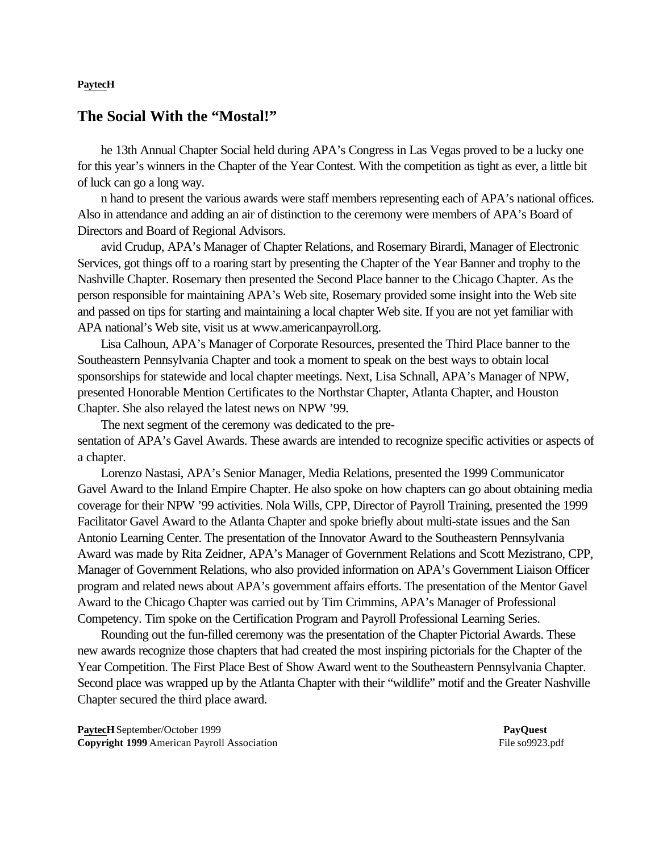## **PaytecH**

## **The Social With the "Mostal!"**

he 13th Annual Chapter Social held during APA's Congress in Las Vegas proved to be a lucky one for this year's winners in the Chapter of the Year Contest. With the competition as tight as ever, a little bit of luck can go a long way.

n hand to present the various awards were staff members representing each of APA's national offices. Also in attendance and adding an air of distinction to the ceremony were members of APA's Board of Directors and Board of Regional Advisors.

avid Crudup, APA's Manager of Chapter Relations, and Rosemary Birardi, Manager of Electronic Services, got things off to a roaring start by presenting the Chapter of the Year Banner and trophy to the Nashville Chapter. Rosemary then presented the Second Place banner to the Chicago Chapter. As the person responsible for maintaining APA's Web site, Rosemary provided some insight into the Web site and passed on tips for starting and maintaining a local chapter Web site. If you are not yet familiar with APA national's Web site, visit us at www.americanpayroll.org.

Lisa Calhoun, APA's Manager of Corporate Resources, presented the Third Place banner to the Southeastern Pennsylvania Chapter and took a moment to speak on the best ways to obtain local sponsorships for statewide and local chapter meetings. Next, Lisa Schnall, APA's Manager of NPW, presented Honorable Mention Certificates to the Northstar Chapter, Atlanta Chapter, and Houston Chapter. She also relayed the latest news on NPW '99.

The next segment of the ceremony was dedicated to the presentation of APA's Gavel Awards. These awards are intended to recognize specific activities or aspects of a chapter.

Lorenzo Nastasi, APA's Senior Manager, Media Relations, presented the 1999 Communicator Gavel Award to the Inland Empire Chapter. He also spoke on how chapters can go about obtaining media coverage for their NPW '99 activities. Nola Wills, CPP, Director of Payroll Training, presented the 1999 Facilitator Gavel Award to the Atlanta Chapter and spoke briefly about multi-state issues and the San Antonio Learning Center. The presentation of the Innovator Award to the Southeastern Pennsylvania Award was made by Rita Zeidner, APA's Manager of Government Relations and Scott Mezistrano, CPP, Manager of Government Relations, who also provided information on APA's Government Liaison Officer program and related news about APA's government affairs efforts. The presentation of the Mentor Gavel Award to the Chicago Chapter was carried out by Tim Crimmins, APA's Manager of Professional Competency. Tim spoke on the Certification Program and Payroll Professional Learning Series.

Rounding out the fun-filled ceremony was the presentation of the Chapter Pictorial Awards. These new awards recognize those chapters that had created the most inspiring pictorials for the Chapter of the Year Competition. The First Place Best of Show Award went to the Southeastern Pennsylvania Chapter. Second place was wrapped up by the Atlanta Chapter with their "wildlife" motif and the Greater Nashville Chapter secured the third place award.

**PaytecH** September/October 1999 **PayQuest Copyright 1999** American Payroll Association File so9923.pdf